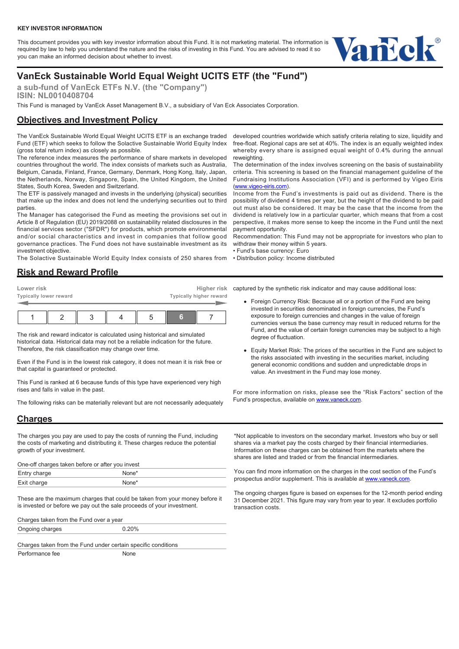This document provides you with key investor information about this Fund. It is not marketing material. The information is required by law to help you understand the nature and the risks of investing in this Fund. You are advised to read it so you can make an informed decision about whether to invest.



# **VanEck Sustainable World Equal Weight UCITS ETF (the "Fund")**

**a sub-fund of VanEck ETFs N.V. (the "Company") ISIN: NL0010408704**

This Fund is managed by VanEck Asset Management B.V., a subsidiary of Van Eck Associates Corporation.

## **Objectives and Investment Policy**

The VanEck Sustainable World Equal Weight UCITS ETF is an exchange traded Fund (ETF) which seeks to follow the Solactive Sustainable World Equity Index (gross total return index) as closely as possible.

The reference index measures the performance of share markets in developed countries throughout the world. The index consists of markets such as Australia, Belgium, Canada, Finland, France, Germany, Denmark, Hong Kong, Italy, Japan, the Netherlands, Norway, Singapore, Spain, the United Kingdom, the United States, South Korea, Sweden and Switzerland.

The ETF is passively managed and invests in the underlying (physical) securities that make up the index and does not lend the underlying securities out to third parties.

The Manager has categorised the Fund as meeting the provisions set out in Article 8 of Regulation (EU) 2019/2088 on sustainability related disclosures in the financial services sector ("SFDR") for products, which promote environmental and/or social characteristics and invest in companies that follow good governance practices. The Fund does not have sustainable investment as its investment objective.

The Solactive Sustainable World Equity Index consists of 250 shares from

#### **Risk and Reward Profile**

| Lower risk<br>Typically lower reward |  |  |  | Higher risk<br>Typically higher reward |   |  |  |
|--------------------------------------|--|--|--|----------------------------------------|---|--|--|
|                                      |  |  |  |                                        | 6 |  |  |

The risk and reward indicator is calculated using historical and simulated historical data. Historical data may not be a reliable indication for the future. Therefore, the risk classification may change over time.

Even if the Fund is in the lowest risk category, it does not mean it is risk free or that capital is guaranteed or protected.

This Fund is ranked at 6 because funds of this type have experienced very high rises and falls in value in the past.

The following risks can be materially relevant but are not necessarily adequately

#### **Charges**

The charges you pay are used to pay the costs of running the Fund, including the costs of marketing and distributing it. These charges reduce the potential growth of your investment.

One-off charges taken before or after you invest

| <u>— </u><br>criarge<br>cuu,       |  |
|------------------------------------|--|
| Fxit ch<br>rae.<br><b>EVIL AND</b> |  |
|                                    |  |

These are the maximum charges that could be taken from your money before it is invested or before we pay out the sale proceeds of your investment.

Charges taken from the Fund over a year Ongoing charges 0.20%

Charges taken from the Fund under certain specific conditions

Performance fee None

developed countries worldwide which satisfy criteria relating to size, liquidity and free-float. Regional caps are set at 40%. The index is an equally weighted index whereby every share is assigned equal weight of 0.4% during the annual reweighting.

The determination of the index involves screening on the basis of sustainability criteria. This screening is based on the financial management guideline of the Fundraising Institutions Association (VFI) and is performed by Vigeo Eiris [\(www.vigeo-eiris.com\)](https://authoring.vaneck.com/EPiServer/Cms/http://vigeo-eiris.com/).

Income from the Fund's investments is paid out as dividend. There is the possibility of dividend 4 times per year, but the height of the dividend to be paid out must also be considered. It may be the case that the income from the dividend is relatively low in a particular quarter, which means that from a cost perspective, it makes more sense to keep the income in the Fund until the next payment opportunity.

Recommendation: This Fund may not be appropriate for investors who plan to withdraw their money within 5 years.

• Fund's base currency: Euro

• Distribution policy: Income distributed

captured by the synthetic risk indicator and may cause additional loss:

- Foreign Currency Risk: Because all or a portion of the Fund are being invested in securities denominated in foreign currencies, the Fund's exposure to foreign currencies and changes in the value of foreign currencies versus the base currency may result in reduced returns for the Fund, and the value of certain foreign currencies may be subject to a high degree of fluctuation.
- Equity Market Risk: The prices of the securities in the Fund are subject to the risks associated with investing in the securities market, including general economic conditions and sudden and unpredictable drops in value. An investment in the Fund may lose money.

For more information on risks, please see the "Risk Factors" section of the Fund's prospectus, available on [www.vaneck.com.](https://www.vaneck.com)

\*Not applicable to investors on the secondary market. Investors who buy or sell shares via a market pay the costs charged by their financial intermediaries. Information on these charges can be obtained from the markets where the shares are listed and traded or from the financial intermediaries.

You can find more information on the charges in the cost section of the Fund's prospectus and/or supplement. This is available at [www.vaneck.com](https://www.vaneck.com).

The ongoing charges figure is based on expenses for the 12-month period ending 31 December 2021. This figure may vary from year to year. It excludes portfolio transaction costs.